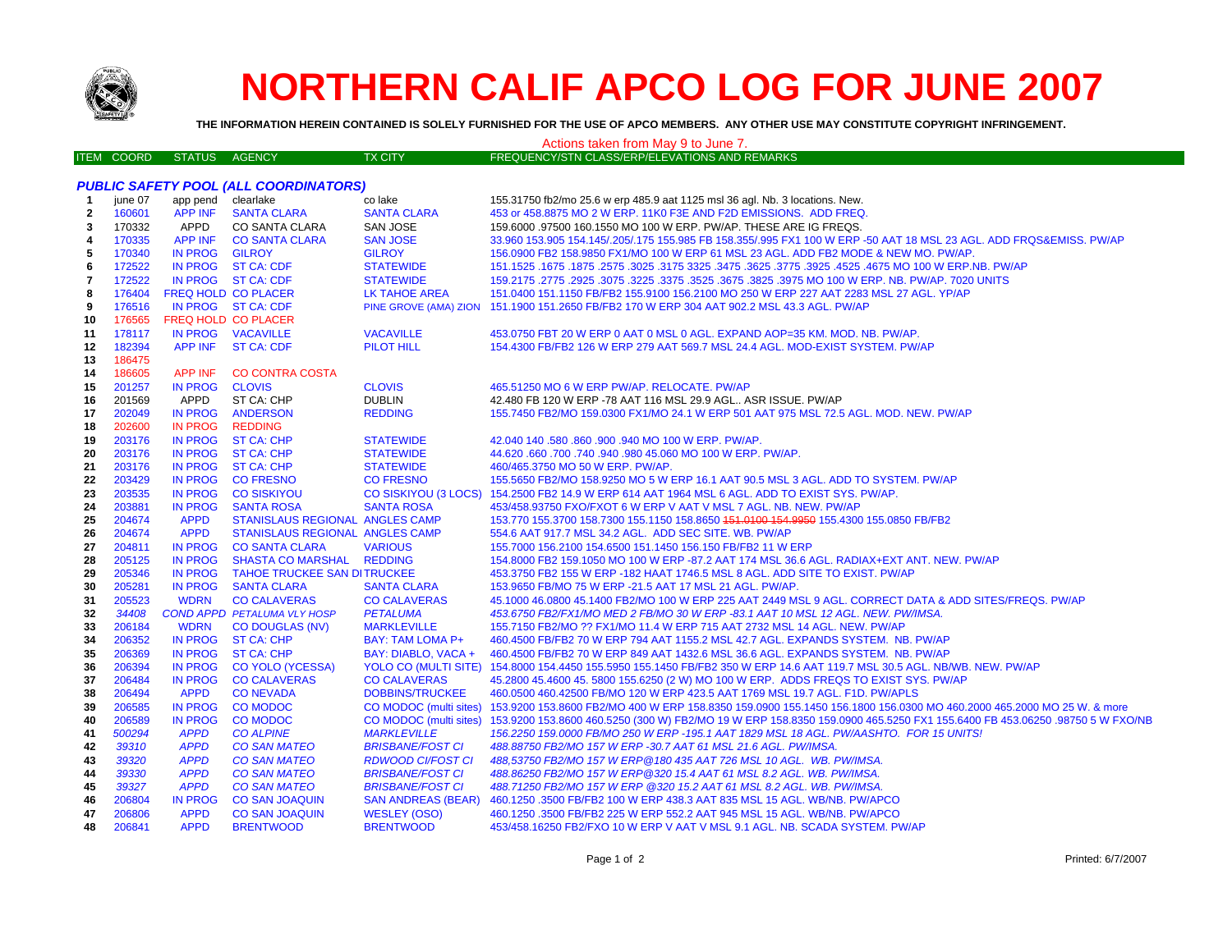

# **NORTHERN CALIF APCO LOG FOR JUNE 2007**

**THE INFORMATION HEREIN CONTAINED IS SOLELY FURNISHED FOR THE USE OF APCO MEMBERS. ANY OTHER USE MAY CONSTITUTE COPYRIGHT INFRINGEMENT.**

#### ITEM COORD STATUS AGENCY TX CITY FREQUENCY/STN CLASS/ERP/ELEVATIONS AND REMARKS *PUBLIC SAFETY POOL (ALL COORDINATORS)* **1**june 07 app pend clearlake co lake co lake 155.31750 fb2/mo 25.6 w erp 485.9 aat 1125 msl 36 agl. Nb. 3 locations. New. **2** 160601 APP INF SANTA CLARA SANTA CLARA 453 or 458.8875 MO 2 W ERP. 11K0 F3E AND F2D EMISSIONS. ADD FREQ. **3**170332 APPD CO SANTA CLARA SAN JOSE 159.6000 .97500 160.1550 MO 100 W ERP. PW/AP. THESE ARE IG FREQS. **4** 170335 APP INF CO SANTA CLARA SAN JOSE 33.960 153.905 154.145/.205/.175 155.985 FB 158.355/.995 FX1 100 W ERP -50 AAT 18 MSL 23 AGL. ADD FRQS&EMISS. PW/AP **5** 170340 IN PROG GILROY GILROY 156.0900 FB2 158.9850 FX1/MO 100 W ERP 61 MSL 23 AGL. ADD FB2 MODE & NEW MO. PW/AP. **6** 172522 IN PROG ST CA: CDF STATEWIDE 151.1525 .1675 .1875 .2575 .3025 .3175 3325 .3475 .3625 .3775 .3925 .4525 .4675 MO 100 W ERP.NB. PW/AP**7**172522 IN PROG ST CA: CDF STATEWIDE 159.2175 .2925 .3075 .3225 .3375 .3525 .3675 .3825 .3975 MO 100 W ERP. NB. PW/AP. 7020 UNITS **8** 176404 FREQ HOLD CO PLACER LK TAHOE AREA 151.0400 151.1150 FB/FB2 155.9100 156.2100 MO 250 W ERP 227 AAT 2283 MSL 27 AGL. YP/AP**9** 176516 IN PROG ST CA: CDF PINE GROVE (AMA) ZION 151.1900 151.2650 FB/FB2 170 W ERP 304 AAT 902.2 MSL 43.3 AGL. PW/AP **10** 176565 FREQ HOLD CO PLACERIN PROG VACAVILLE **11** 178117 IN PROG VACAVILLE VACAVILLE 453.0750 FBT 20 W ERP 0 AAT 0 MSL 0 AGL. EXPAND AOP=35 KM. MOD. NB. PW/AP. **12** 182394 APP INF ST CA: CDF PILOT HILL 154.4300 FB/FB2 126 W ERP 279 AAT 569.7 MSL 24.4 AGL. MOD-EXIST SYSTEM. PW/AP**13** 186475 **14** 186605 APP INF CO CONTRA COSTA**15** 201257 IN PROG CLOVIS CLOVIS 465.51250 MO 6 W ERP PW/AP. RELOCATE. PW/AP 201569 APPD ST CA: CHP DUBLIN 42.480 FB 120 W ERP -78 AAT 116 MSL 29.9 AGL.. ASR ISSUE. PW/AP **1617** 202049 IN PROG ANDERSON REDDING 155.7450 FB2/MO 159.0300 FX1/MO 24.1 W ERP 501 AAT 975 MSL 72.5 AGL. MOD. NEW. PW/AP**18** 202600 IN PROG REDDING**19** 203176 IN PROG ST CA: CHP STATEWIDE 42.040 140 .580 .860 .900 .940 MO 100 W ERP. PW/AP. **20** 203176 IN PROG ST CA: CHP STATEWIDE 44.620 .660 .700 .740 .940 .980 45.060 MO 100 W ERP. PW/AP. **21** 203176 IN PROG ST CA: CHP STATEWIDE 460/465.3750 MO 50 W ERP. PW/AP. **22** 203429 IN PROG CO FRESNO CO FRESNO 155.5650 FB2/MO 158.9250 MO 5 W ERP 16.1 AAT 90.5 MSL 3 AGL. ADD TO SYSTEM. PW/AP**23** 203535 IN PROG CO SISKIYOU CO SISKIYOU (3 LOCS) 154.2500 FB2 14.9 W ERP 614 AAT 1964 MSL 6 AGL. ADD TO EXIST SYS. PW/AP. **24**203881 IN PROG SANTA ROSA SANTA ROSA SANTA ROSA 453/458.93750 FXO/FXOT 6 W ERP V AAT V MSL 7 AGL. NB. NEW. PW/AP 153.770 155.3700 158.7300 155.1150 158.8650 151.0100 154.9950 155.4300 155.0850 FB/FB2 **25** 204674 APPD STANISLAUS REGIONAL ANGLES CAMP**26** 204674 APPD STANISLAUS REGIONAL ANGLES CAMP 554.6 AAT 917.7 MSL 34.2 AGL. ADD SEC SITE. WB. PW/AP 204811 IN PROG CO SANTA CLARA VARIOUS 155.7000 156.2100 154.6500 151.1450 156.150 FB/FB2 11 W ERP **2728** 205125 IN PROG SHASTA CO MARSHAL REDDING 154.8000 FB2 159.1050 MO 100 W ERP -87.2 AAT 174 MSL 36.6 AGL. RADIAX+EXT ANT. NEW. PW/AP**29** 205346 IN PROG TAHOE TRUCKEE SAN DITRUCKEE 453.3750 FB2 155 W ERP -182 HAAT 1746.5 MSL 8 AGL. ADD SITE TO EXIST. PW/AP**30**205281 IN PROG SANTA CLARA SANTA CLARA 153.9650 FB/MO 75 W ERP -21.5 AAT 17 MSL 21 AGL. PW/AP. **31** 205523 WDRN CO CALAVERAS CO CALAVERAS 45.1000 46.0800 45.1400 FB2/MO 100 W ERP 225 AAT 2449 MSL 9 AGL. CORRECT DATA & ADD SITES/FREQS. PW/AP**32** *34408 COND APPD PETALUMA VLY HOSP PETALUMA 453.6750 FB2/FX1/MO MED 2 FB/MO 30 W ERP -83.1 AAT 10 MSL 12 AGL. NEW. PW/IMSA.* **33** 206184 WDRN CO DOUGLAS (NV) MARKLEVILLE 155.7150 FB2/MO ?? FX1/MO 11.4 W ERP 715 AAT 2732 MSL 14 AGL. NEW. PW/AP **34** 206352 IN PROG ST CA: CHP BAY: TAM LOMA P+ 460.4500 FB/FB2 70 W ERP 794 AAT 1155.2 MSL 42.7 AGL. EXPANDS SYSTEM. NB. PW/AP**35** 206369 IN PROG ST CA: CHP BAY: DIABLO, VACA + 460.4500 FB/FB2 70 W ERP 849 AAT 1432.6 MSL 36.6 AGL. EXPANDS SYSTEM. NB. PW/AP **36** 206394 IN PROG CO YOLO (YCESSA) YOLO CO (MULTI SITE) 154.8000 154.4450 155.5950 155.1450 FB/FB2 350 W ERP 14.6 AAT 119.7 MSL 30.5 AGL. NB/WB. NEW. PW/AP **37** 206484 IN PROG CO CALAVERAS CO CALAVERAS 45.2800 45.4600 45. 5800 155.6250 (2 W) MO 100 W ERP. ADDS FREQS TO EXIST SYS. PW/AP **38** 206494 APPD CO NEVADA DOBBINS/TRUCKEE 460.0500 460.42500 FB/MO 120 W ERP 423.5 AAT 1769 MSL 19.7 AGL. F1D. PW/APLS**39** 206585 IN PROG CO MODOC CO MODOC (multi sites) 153.9200 153.8600 FB2/MO 400 W ERP 158.8350 159.0900 155.1450 156.1800 156.0300 MO 460.2000 465.2000 MO 25 W. & more **40**206589 IN PROG CO MODOC CO MODOC (multi sites) 153.9200 153.8600 460.5250 (300 W) FB2/MO 19 W ERP 158.8350 159.0900 465.5250 FX1 155.6400 FB 453.06250 .98750 5 W FXO/NB<br>200294 APPD CO ALPINE MARKLEVILLE 156.2250 159.0000 F **41** *500294 APPD CO ALPINE MARKLEVILLE 156.2250 159.0000 FB/MO 250 W ERP -195.1 AAT 1829 MSL 18 AGL. PW/AASHTO. FOR 15 UNITS!* **42** *39310 APPD CO SAN MATEO BRISBANE/FOST CI 488.88750 FB2/MO 157 W ERP -30.7 AAT 61 MSL 21.6 AGL. PW/IMSA.* **43** *39320 APPD CO SAN MATEO RDWOOD CI/FOST CI 488,53750 FB2/MO 157 W ERP@180 435 AAT 726 MSL 10 AGL. WB. PW/IMSA.* **44** *39330 APPD CO SAN MATEO BRISBANE/FOST CI 488.86250 FB2/MO 157 W ERP@320 15.4 AAT 61 MSL 8.2 AGL. WB. PW/IMSA.* **45** *39327 APPD CO SAN MATEO BRISBANE/FOST CI 488.71250 FB2/MO 157 W ERP @320 15.2 AAT 61 MSL 8.2 AGL. WB. PW/IMSA.* **46** 206804 IN PROG CO SAN JOAQUIN SAN ANDREAS (BEAR) 460.1250 .3500 FB/FB2 100 W ERP 438.3 AAT 835 MSL 15 AGL. WB/NB. PW/APCO **47** 206806 APPD CO SAN JOAQUIN WESLEY (OSO) 460.1250 .3500 FB/FB2 225 W ERP 552.2 AAT 945 MSL 15 AGL. WB/NB. PW/APCO **48** 206841 APPD BRENTWOOD BRENTWOOD 453/458.16250 FB2/FXO 10 W ERP V AAT V MSL 9.1 AGL. NB. SCADA SYSTEM. PW/AP Actions taken from May 9 to June 7.